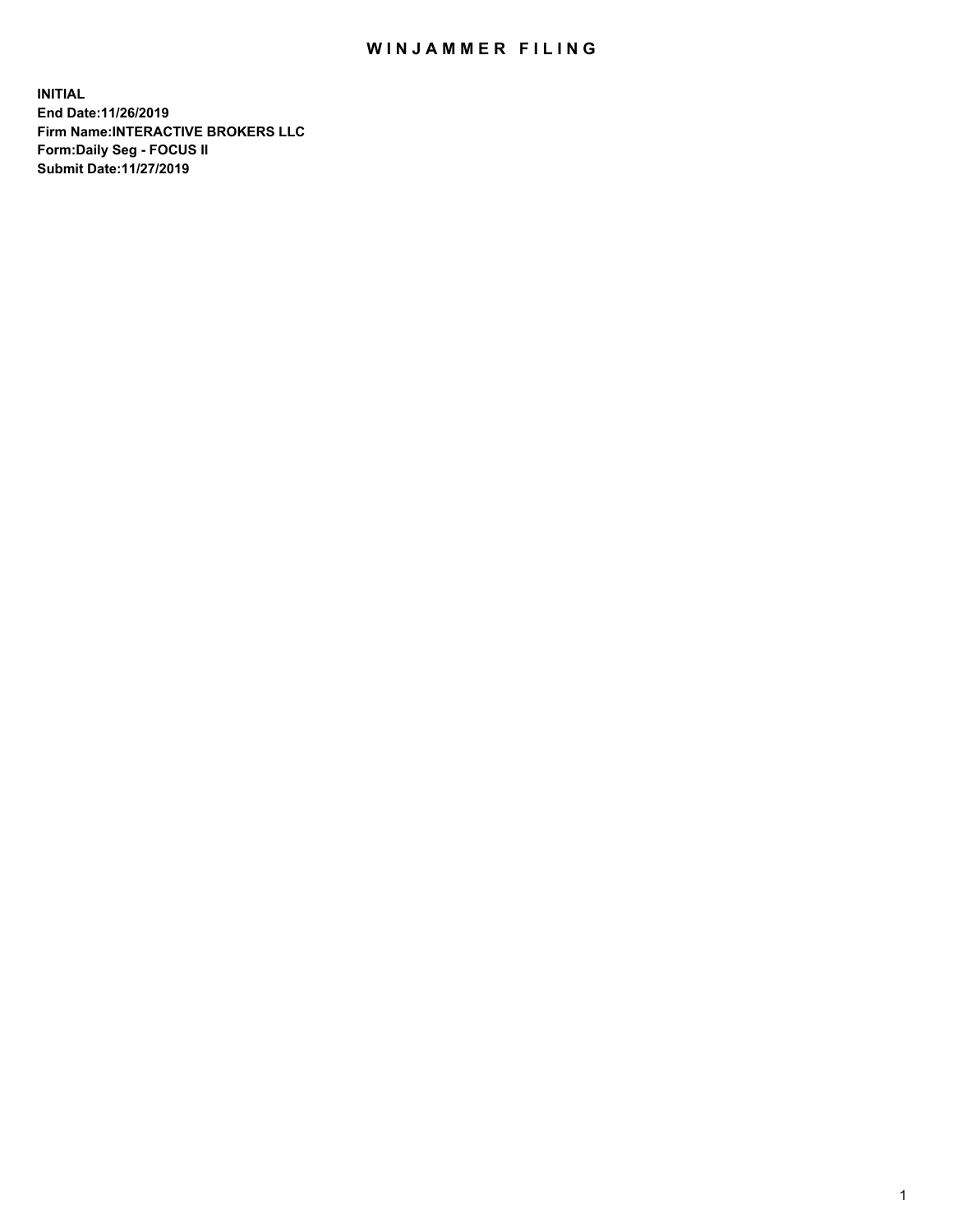## WIN JAMMER FILING

**INITIAL End Date:11/26/2019 Firm Name:INTERACTIVE BROKERS LLC Form:Daily Seg - FOCUS II Submit Date:11/27/2019**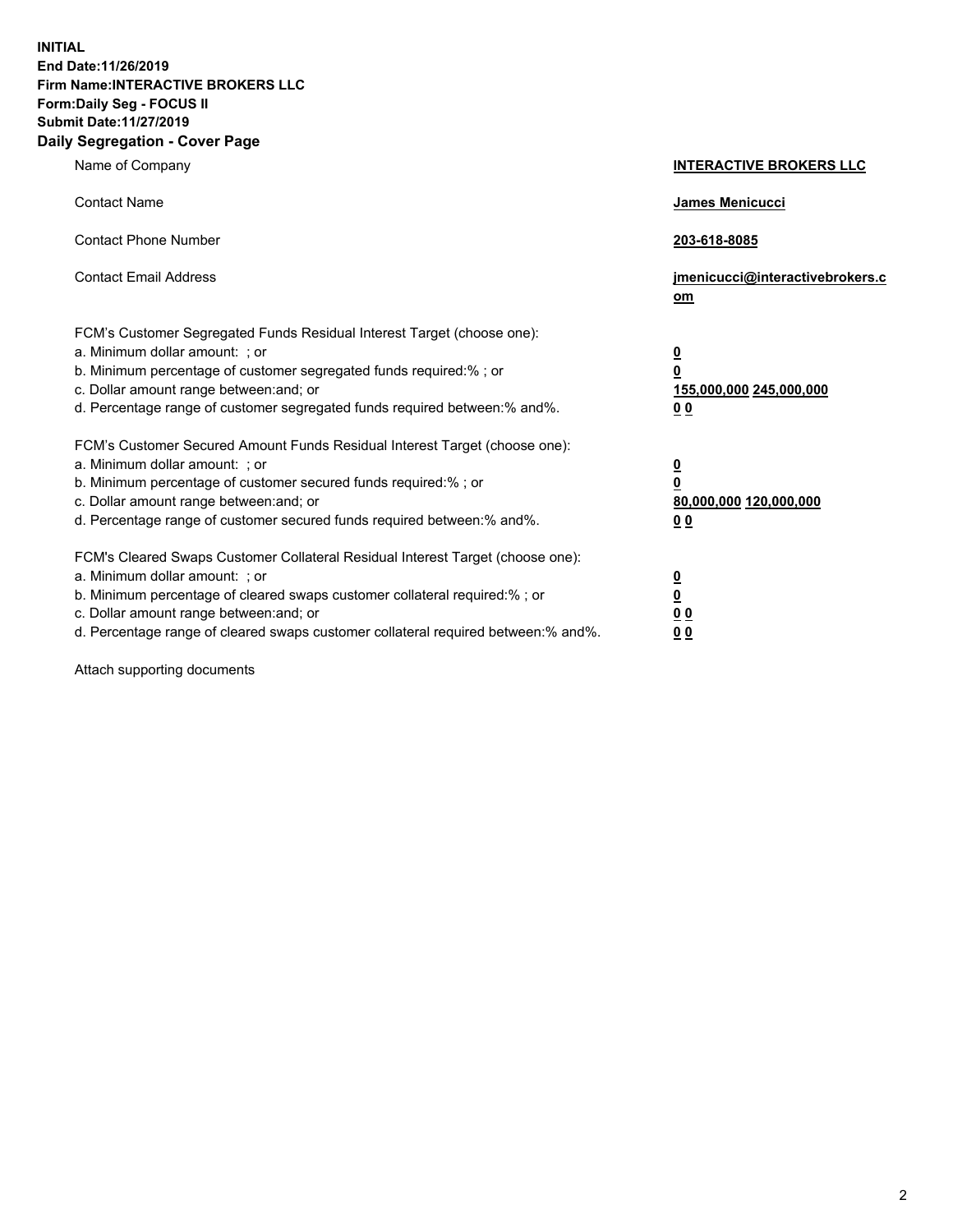**INITIAL End Date:11/26/2019 Firm Name:INTERACTIVE BROKERS LLC Form:Daily Seg - FOCUS II Submit Date:11/27/2019 Daily Segregation - Cover Page**

| Name of Company                                                                                                                                                                                                                                                                                                                | <b>INTERACTIVE BROKERS LLC</b>                                                                  |
|--------------------------------------------------------------------------------------------------------------------------------------------------------------------------------------------------------------------------------------------------------------------------------------------------------------------------------|-------------------------------------------------------------------------------------------------|
| <b>Contact Name</b>                                                                                                                                                                                                                                                                                                            | James Menicucci                                                                                 |
| <b>Contact Phone Number</b>                                                                                                                                                                                                                                                                                                    | 203-618-8085                                                                                    |
| <b>Contact Email Address</b>                                                                                                                                                                                                                                                                                                   | jmenicucci@interactivebrokers.c<br>om                                                           |
| FCM's Customer Segregated Funds Residual Interest Target (choose one):<br>a. Minimum dollar amount: ; or<br>b. Minimum percentage of customer segregated funds required:%; or<br>c. Dollar amount range between: and; or<br>d. Percentage range of customer segregated funds required between:% and%.                          | $\overline{\mathbf{0}}$<br>$\overline{\mathbf{0}}$<br>155,000,000 245,000,000<br>0 <sub>0</sub> |
| FCM's Customer Secured Amount Funds Residual Interest Target (choose one):<br>a. Minimum dollar amount: ; or<br>b. Minimum percentage of customer secured funds required:% ; or<br>c. Dollar amount range between: and; or<br>d. Percentage range of customer secured funds required between:% and%.                           | $\overline{\mathbf{0}}$<br>$\overline{\mathbf{0}}$<br>80,000,000 120,000,000<br>0 <sub>0</sub>  |
| FCM's Cleared Swaps Customer Collateral Residual Interest Target (choose one):<br>a. Minimum dollar amount: ; or<br>b. Minimum percentage of cleared swaps customer collateral required:% ; or<br>c. Dollar amount range between: and; or<br>d. Percentage range of cleared swaps customer collateral required between:% and%. | $\overline{\mathbf{0}}$<br>$\underline{\mathbf{0}}$<br>0 <sub>0</sub><br>0 <sub>0</sub>         |

Attach supporting documents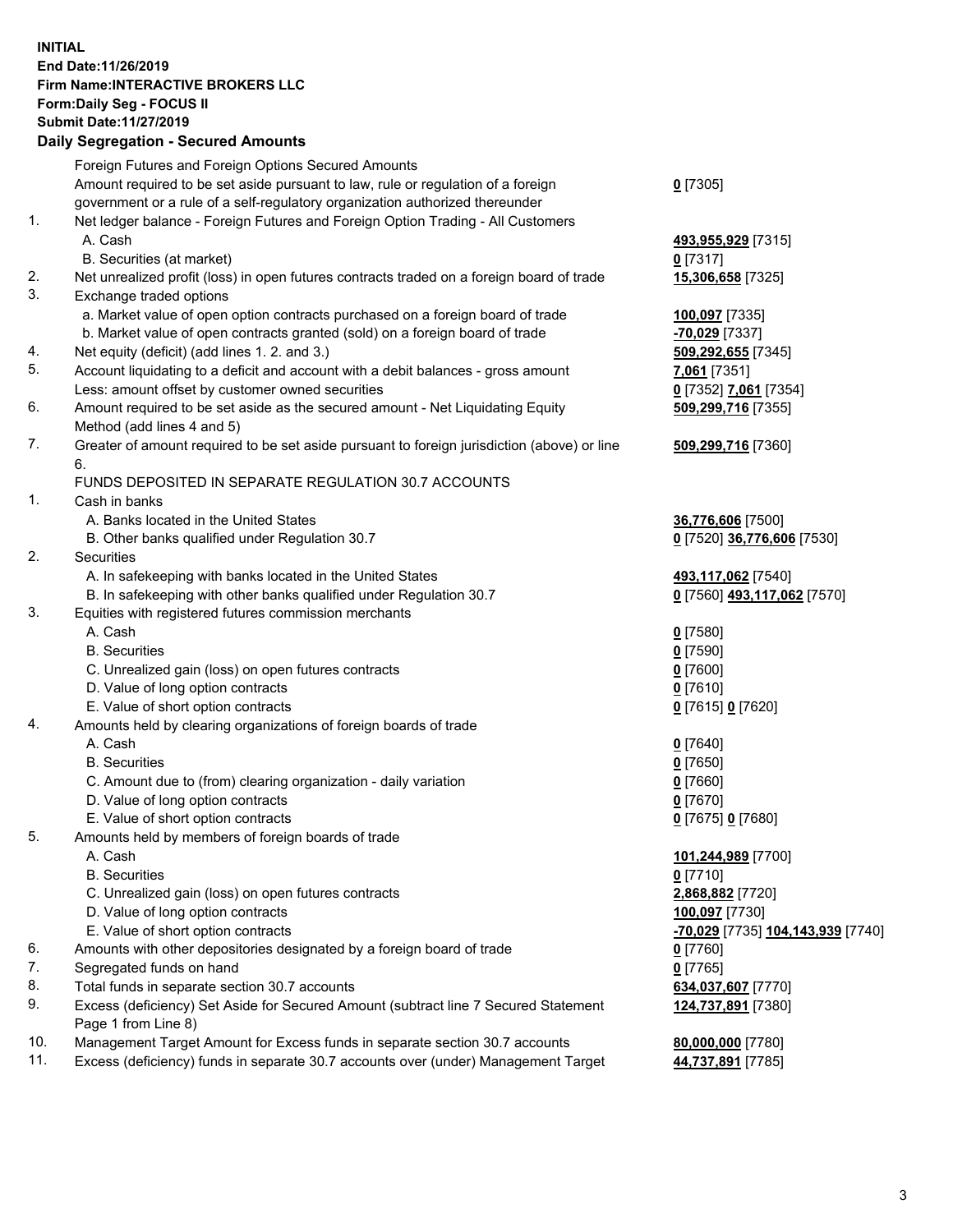## **INITIAL End Date:11/26/2019 Firm Name:INTERACTIVE BROKERS LLC Form:Daily Seg - FOCUS II Submit Date:11/27/2019**

|     | <b>Daily Segregation - Secured Amounts</b>                                                  |                                                |
|-----|---------------------------------------------------------------------------------------------|------------------------------------------------|
|     | Foreign Futures and Foreign Options Secured Amounts                                         |                                                |
|     | Amount required to be set aside pursuant to law, rule or regulation of a foreign            | $0$ [7305]                                     |
|     | government or a rule of a self-regulatory organization authorized thereunder                |                                                |
| 1.  | Net ledger balance - Foreign Futures and Foreign Option Trading - All Customers             |                                                |
|     | A. Cash                                                                                     | 493,955,929 [7315]                             |
|     | B. Securities (at market)                                                                   | $0$ [7317]                                     |
| 2.  | Net unrealized profit (loss) in open futures contracts traded on a foreign board of trade   | 15,306,658 [7325]                              |
| 3.  | Exchange traded options                                                                     |                                                |
|     | a. Market value of open option contracts purchased on a foreign board of trade              | 100,097 [7335]                                 |
|     | b. Market value of open contracts granted (sold) on a foreign board of trade                | -70,029 [7337]                                 |
| 4.  | Net equity (deficit) (add lines 1.2. and 3.)                                                | 509,292,655 [7345]                             |
| 5.  | Account liquidating to a deficit and account with a debit balances - gross amount           | 7,061 [7351]                                   |
|     | Less: amount offset by customer owned securities                                            | 0 [7352] 7,061 [7354]                          |
| 6.  | Amount required to be set aside as the secured amount - Net Liquidating Equity              | 509,299,716 [7355]                             |
|     | Method (add lines 4 and 5)                                                                  |                                                |
| 7.  | Greater of amount required to be set aside pursuant to foreign jurisdiction (above) or line | 509,299,716 [7360]                             |
|     | 6.                                                                                          |                                                |
|     | FUNDS DEPOSITED IN SEPARATE REGULATION 30.7 ACCOUNTS                                        |                                                |
| 1.  | Cash in banks                                                                               |                                                |
|     | A. Banks located in the United States                                                       | 36,776,606 [7500]                              |
|     | B. Other banks qualified under Regulation 30.7                                              | 0 [7520] 36,776,606 [7530]                     |
| 2.  | Securities                                                                                  |                                                |
|     | A. In safekeeping with banks located in the United States                                   | 493,117,062 [7540]                             |
|     | B. In safekeeping with other banks qualified under Regulation 30.7                          | 0 [7560] 493,117,062 [7570]                    |
| 3.  | Equities with registered futures commission merchants                                       |                                                |
|     | A. Cash                                                                                     | $0$ [7580]                                     |
|     | <b>B.</b> Securities                                                                        | $0$ [7590]                                     |
|     | C. Unrealized gain (loss) on open futures contracts                                         | $0$ [7600]                                     |
|     | D. Value of long option contracts                                                           | $0$ [7610]                                     |
|     | E. Value of short option contracts                                                          | 0 [7615] 0 [7620]                              |
| 4.  | Amounts held by clearing organizations of foreign boards of trade                           |                                                |
|     | A. Cash                                                                                     | $0$ [7640]                                     |
|     | <b>B.</b> Securities                                                                        | $0$ [7650]                                     |
|     | C. Amount due to (from) clearing organization - daily variation                             | $0$ [7660]                                     |
|     | D. Value of long option contracts                                                           | $0$ [7670]                                     |
|     | E. Value of short option contracts                                                          | 0 [7675] 0 [7680]                              |
| 5.  | Amounts held by members of foreign boards of trade                                          |                                                |
|     | A. Cash                                                                                     | 101,244,989 [7700]                             |
|     | <b>B.</b> Securities                                                                        | $0$ [7710]                                     |
|     | C. Unrealized gain (loss) on open futures contracts                                         | 2,868,882 [7720]                               |
|     | D. Value of long option contracts                                                           | 100,097 [7730]                                 |
|     | E. Value of short option contracts                                                          | <mark>-70,029</mark> [7735] 104,143,939 [7740] |
| 6.  | Amounts with other depositories designated by a foreign board of trade                      | $0$ [7760]                                     |
| 7.  | Segregated funds on hand                                                                    | $0$ [7765]                                     |
| 8.  | Total funds in separate section 30.7 accounts                                               | 634,037,607 [7770]                             |
| 9.  | Excess (deficiency) Set Aside for Secured Amount (subtract line 7 Secured Statement         |                                                |
|     | Page 1 from Line 8)                                                                         | 124,737,891 [7380]                             |
| 10. | Management Target Amount for Excess funds in separate section 30.7 accounts                 |                                                |
| 11. | Excess (deficiency) funds in separate 30.7 accounts over (under) Management Target          | 80,000,000 [7780]<br>44,737,891 [7785]         |
|     |                                                                                             |                                                |
|     |                                                                                             |                                                |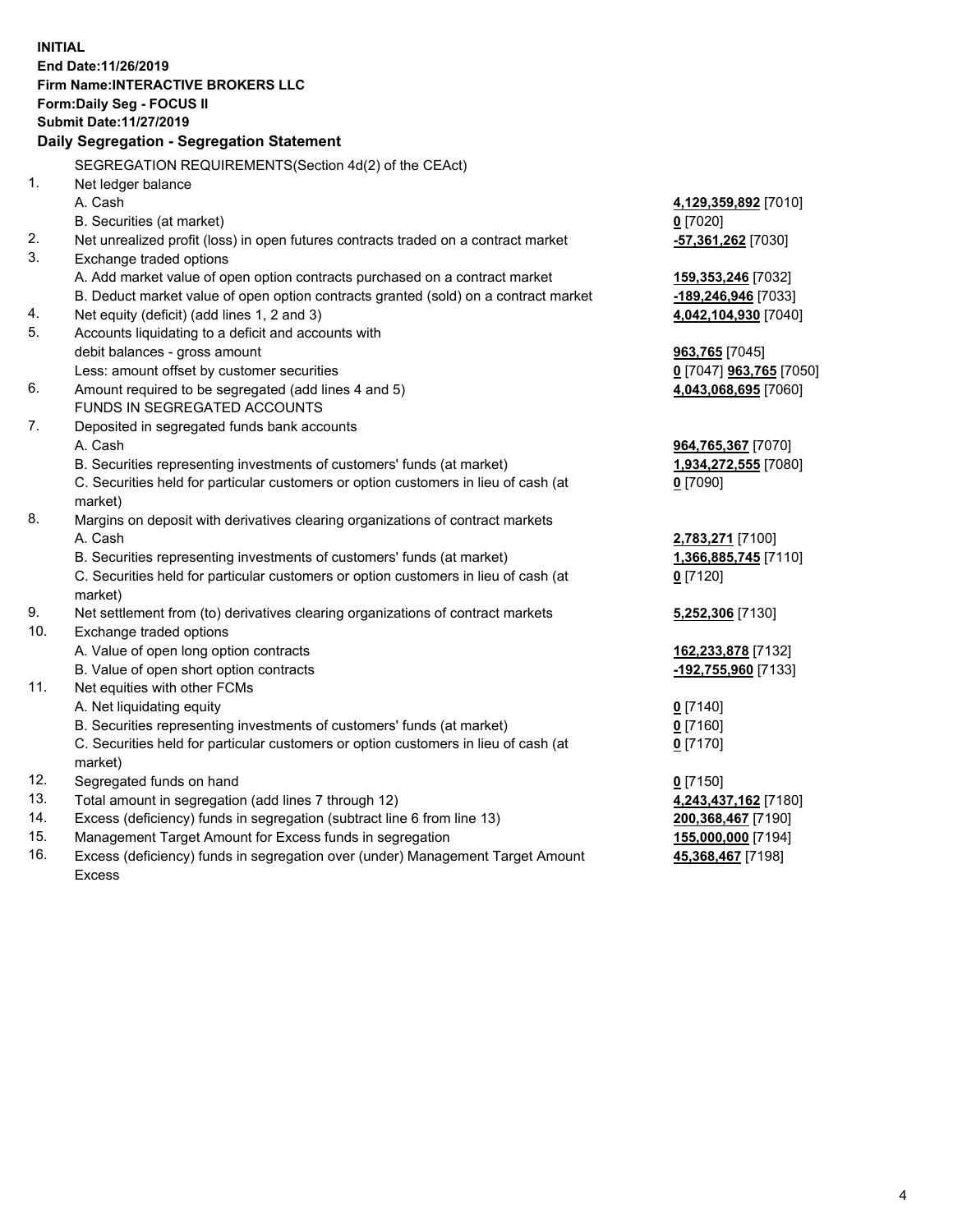**INITIAL End Date:11/26/2019 Firm Name:INTERACTIVE BROKERS LLC Form:Daily Seg - FOCUS II Submit Date:11/27/2019 Daily Segregation - Segregation Statement** SEGREGATION REQUIREMENTS(Section 4d(2) of the CEAct) 1. Net ledger balance A. Cash **4,129,359,892** [7010] B. Securities (at market) **0** [7020] 2. Net unrealized profit (loss) in open futures contracts traded on a contract market **-57,361,262** [7030] 3. Exchange traded options A. Add market value of open option contracts purchased on a contract market **159,353,246** [7032] B. Deduct market value of open option contracts granted (sold) on a contract market **-189,246,946** [7033] 4. Net equity (deficit) (add lines 1, 2 and 3) **4,042,104,930** [7040] 5. Accounts liquidating to a deficit and accounts with debit balances - gross amount **963,765** [7045] Less: amount offset by customer securities **0** [7047] **963,765** [7050] 6. Amount required to be segregated (add lines 4 and 5) **4,043,068,695** [7060] FUNDS IN SEGREGATED ACCOUNTS 7. Deposited in segregated funds bank accounts A. Cash **964,765,367** [7070] B. Securities representing investments of customers' funds (at market) **1,934,272,555** [7080] C. Securities held for particular customers or option customers in lieu of cash (at market) **0** [7090] 8. Margins on deposit with derivatives clearing organizations of contract markets A. Cash **2,783,271** [7100] B. Securities representing investments of customers' funds (at market) **1,366,885,745** [7110] C. Securities held for particular customers or option customers in lieu of cash (at market) **0** [7120] 9. Net settlement from (to) derivatives clearing organizations of contract markets **5,252,306** [7130] 10. Exchange traded options A. Value of open long option contracts **162,233,878** [7132] B. Value of open short option contracts **-192,755,960** [7133] 11. Net equities with other FCMs A. Net liquidating equity **0** [7140] B. Securities representing investments of customers' funds (at market) **0** [7160] C. Securities held for particular customers or option customers in lieu of cash (at market) **0** [7170] 12. Segregated funds on hand **0** [7150] 13. Total amount in segregation (add lines 7 through 12) **4,243,437,162** [7180] 14. Excess (deficiency) funds in segregation (subtract line 6 from line 13) **200,368,467** [7190] 15. Management Target Amount for Excess funds in segregation **155,000,000** [7194]

16. Excess (deficiency) funds in segregation over (under) Management Target Amount Excess

**45,368,467** [7198]